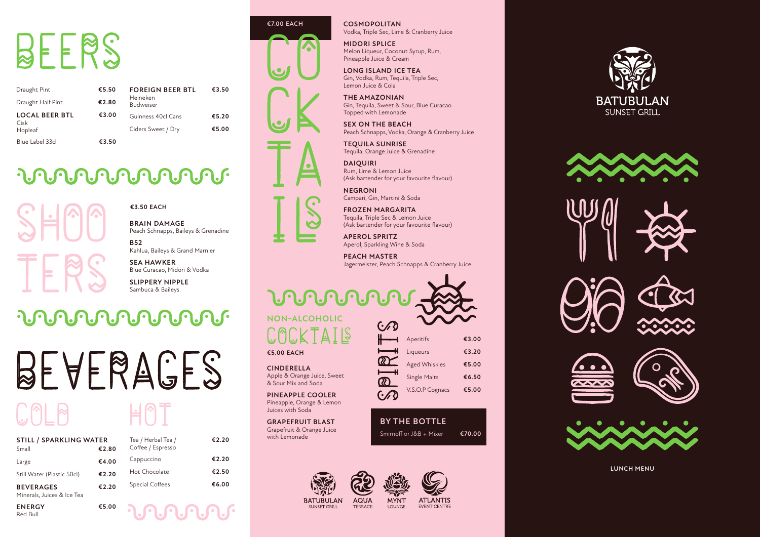**LUNCH MENU**

#### **€3.50 EACH**

# BEERS

| Draught Pint                  | €5.50 | <b>FOREIGN BEER BTL</b>      | €3.50 |
|-------------------------------|-------|------------------------------|-------|
| Draught Half Pint             | €2.80 | Heineken<br><b>Budweiser</b> |       |
| <b>LOCAL BEER BTL</b><br>Cisk | €3.00 | Guinness 40cl Cans           | €5.20 |
| Hopleaf                       |       | Ciders Sweet / Dry           | €5.00 |
| Blue Label 33cl               | €3.50 |                              |       |

#### **UNUNU DE LA PORTE**

**ENERGY** Red Bull **€5.00**

| <b>STILL / SPARKLING WATER</b>                 |       | Tea / Herbal Tea / | €2.20 |
|------------------------------------------------|-------|--------------------|-------|
| Small                                          | €2.80 | Coffee / Espresso  |       |
| Large                                          | €4.00 | Cappuccino         | €2.20 |
| Still Water (Plastic 50cl)                     | €2.20 | Hot Chocolate      | €2.50 |
| <b>BEVERAGES</b><br>Minerals, Juices & Ice Tea | €2.20 | Special Coffees    | €6.00 |

Hot Chocolate **€2.50** Special Coffees **€6.00**

**BRAIN DAMAGE** Peach Schnapps, Baileys & Grenadine

**B52** Kahlua, Baileys & Grand Marnier

**SEA HAWKER** Blue Curacao, Midori & Vodka

**SLIPPERY NIPPLE** Sambuca & Baileys

#### **UNUNU DE LA PORTE**

# BEVERAGES

**COSMOPOLITAN** Vodka, Triple Sec, Lime & Cranberry Juice

**MIDORI SPLICE** Melon Liqueur, Coconut Syrup, Rum, Pineapple Juice & Cream

**LONG ISLAND ICE TEA** Gin, Vodka, Rum, Tequila, Triple Sec, Lemon Juice & Cola

#### **URUNDE NON-ALCOHOLIC**

### $\Delta$

**THE AMAZONIAN** Gin, Tequila, Sweet & Sour, Blue Curacao Topped with Lemonade

**SEX ON THE BEACH** Peach Schnapps, Vodka, Orange & Cranberry Juice

**TEQUILA SUNRISE** Tequila, Orange Juice & Grenadine

**DAIQUIRI** Rum, Lime & Lemon Juice (Ask bartender for your favourite flavour)

**NEGRONI** Campari, Gin, Martini & Soda

**FROZEN MARGARITA** Tequila, Triple Sec & Lemon Juice (Ask bartender for your favourite flavour)

**APEROL SPRITZ** Aperol, Sparkling Wine & Soda

**PEACH MASTER** Jagermeister, Peach Schnapps & Cranberry Juice

**CINDERELLA** Apple & Orange Juice, Sweet & Sour Mix and Soda

**PINEAPPLE COOLER** Pineapple, Orange & Lemon Juices with Soda

**GRAPEFRUIT BLAST** Grapefruit & Orange Juice with Lemonade



**€5.00 EACH**

| $\cdot'$<br>D |                      |       |
|---------------|----------------------|-------|
|               | Aperitifs            | €3.00 |
|               | Liqueurs             | €3.20 |
| <b>R</b>      | <b>Aged Whiskies</b> | €5.00 |
| <b>XX</b>     | <b>Single Malts</b>  | €6.50 |
| $\bullet$     | V.S.O.P Cognacs      | €5.00 |
|               |                      |       |

Smirnoff or J&B + Mixer **€70.00 BY THE BOTTLE**



SUNSET GRILL





**ATLANTIS** EVENT CENTRE

**MYNT** 

**LOUNGE**